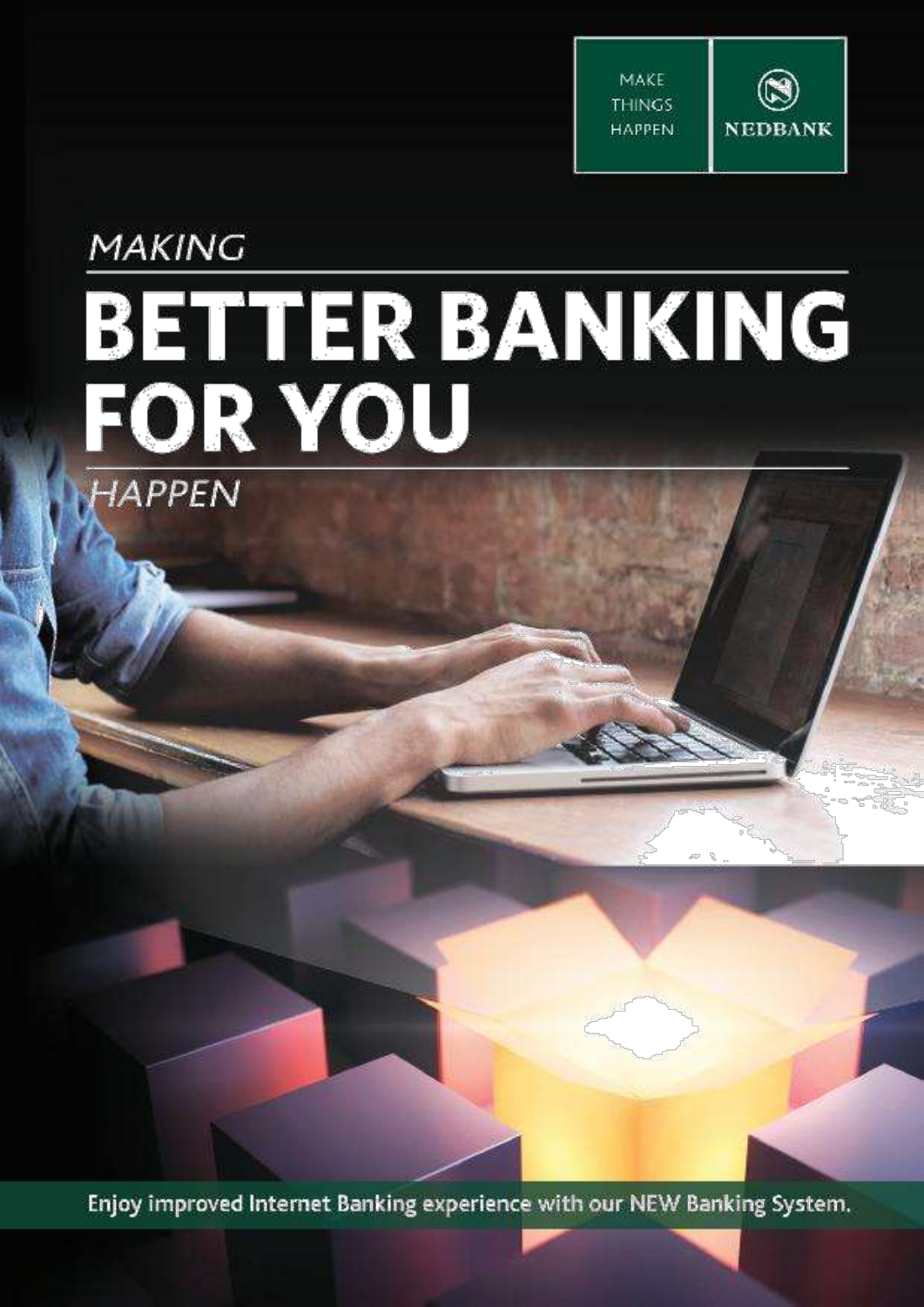

**MAKING** 

# **BETTER BANKING**<br>FOR YOU HAPPEN

Enjoy improved Internet Banking experience with our NEW Banking System.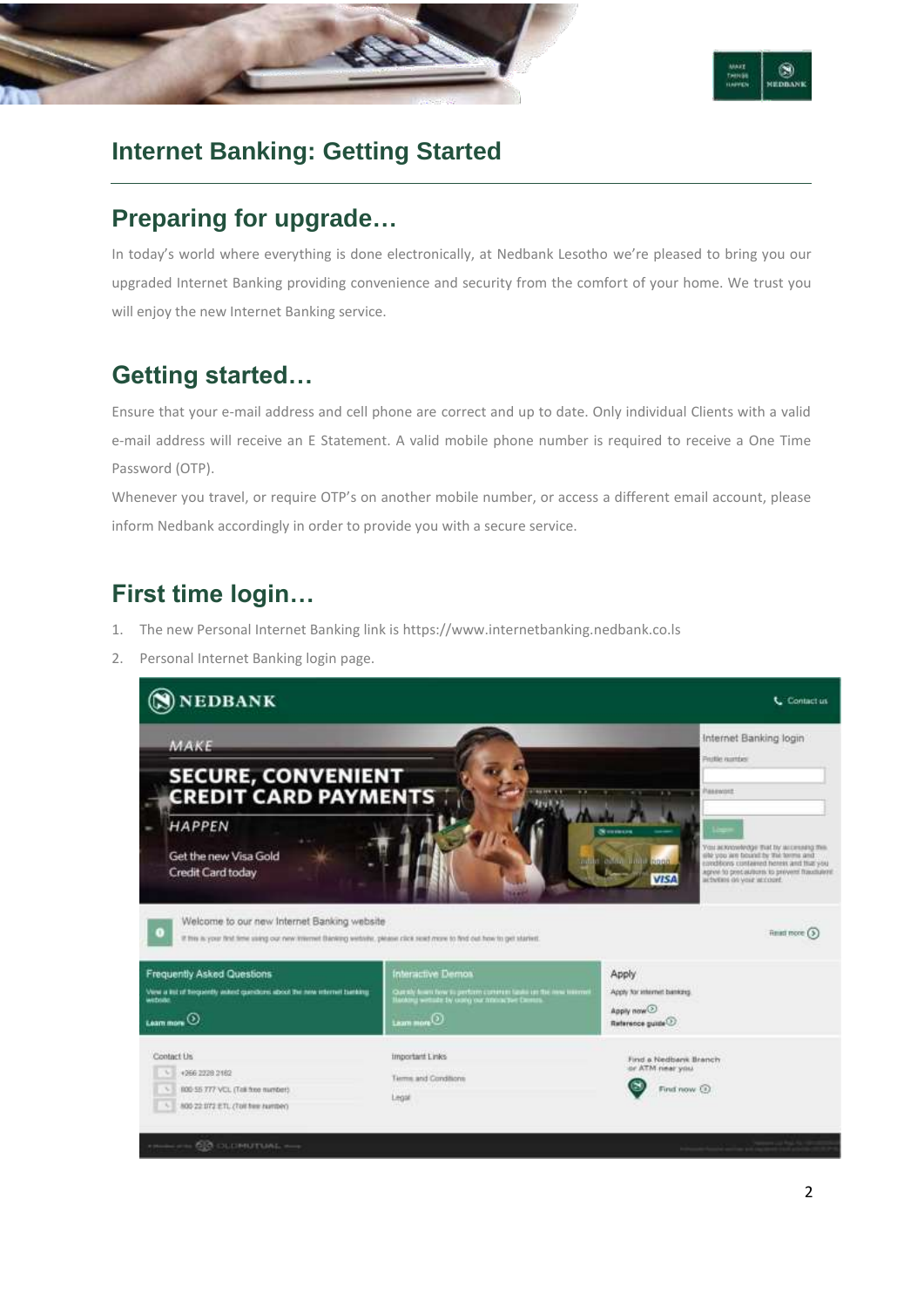



## **Internet Banking: Getting Started**

## **Preparing for upgrade…**

In today's world where everything is done electronically, at Nedbank Lesotho we're pleased to bring you our upgraded Internet Banking providing convenience and security from the comfort of your home. We trust you will enjoy the new Internet Banking service.

# **Getting started…**

Ensure that your e-mail address and cell phone are correct and up to date. Only individual Clients with a valid e-mail address will receive an E Statement. A valid mobile phone number is required to receive a One Time Password (OTP).

Whenever you travel, or require OTP's on another mobile number, or access a different email account, please inform Nedbank accordingly in order to provide you with a secure service.

# **First time login…**

- 1. The new Personal Internet Banking link i[s https://www.internetbanking.nedbank.co.ls](https://www.internetbanking.nedbank.co.ls/)
- 2. Personal Internet Banking login page.

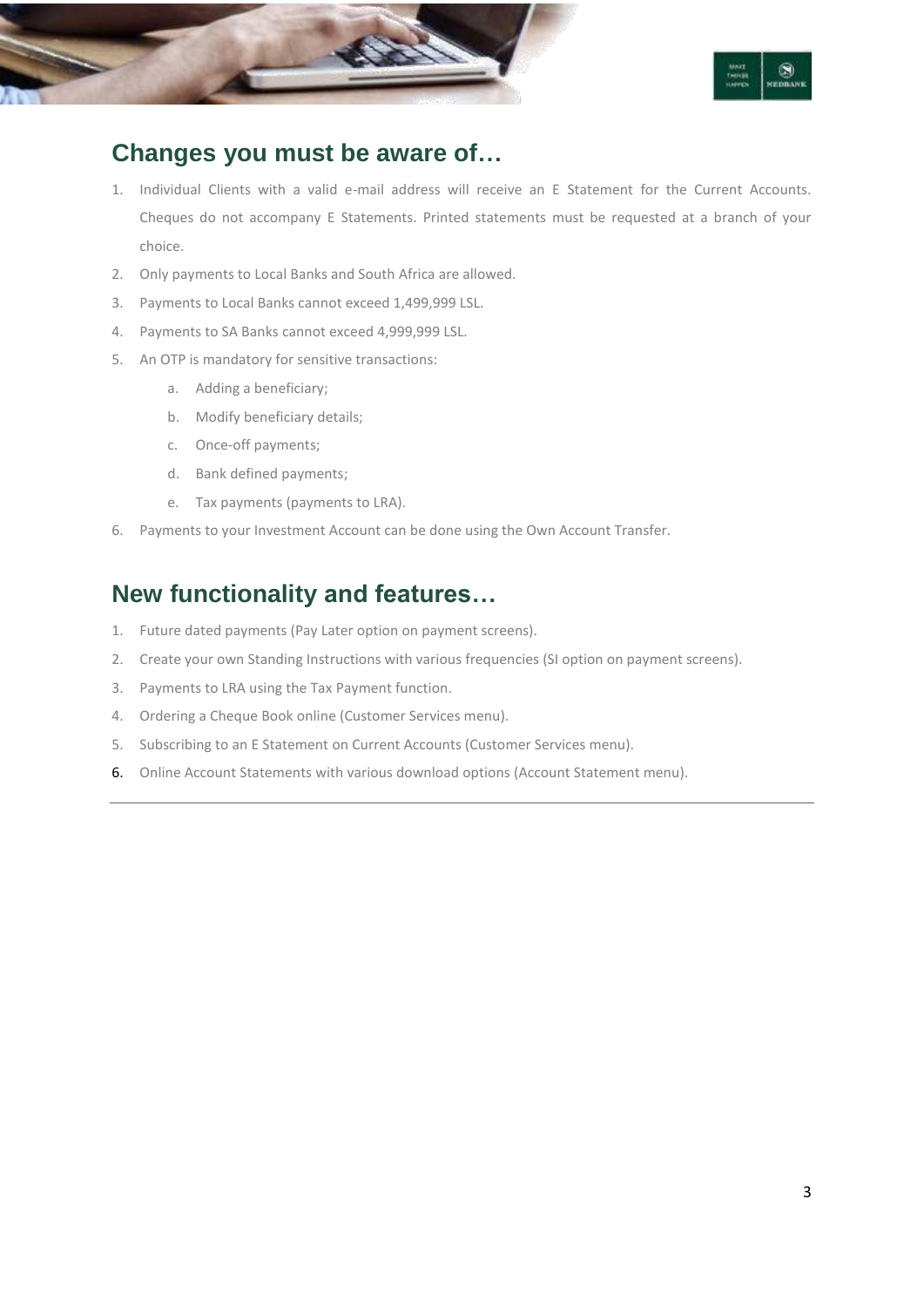



## **Changes you must be aware of…**

- 1. Individual Clients with a valid e-mail address will receive an E Statement for the Current Accounts. Cheques do not accompany E Statements. Printed statements must be requested at a branch of your choice.
- 2. Only payments to Local Banks and South Africa are allowed.
- 3. Payments to Local Banks cannot exceed 1,499,999 LSL.
- 4. Payments to SA Banks cannot exceed 4,999,999 LSL.
- 5. An OTP is mandatory for sensitive transactions:
	- a. Adding a beneficiary;
	- b. Modify beneficiary details;
	- c. Once-off payments;
	- d. Bank defined payments;
	- e. Tax payments (payments to LRA).
- 6. Payments to your Investment Account can be done using the Own Account Transfer.

## **New functionality and features…**

- 1. Future dated payments (Pay Later option on payment screens).
- 2. Create your own Standing Instructions with various frequencies (SI option on payment screens).
- 3. Payments to LRA using the Tax Payment function.
- 4. Ordering a Cheque Book online (Customer Services menu).
- 5. Subscribing to an E Statement on Current Accounts (Customer Services menu).
- 6. Online Account Statements with various download options (Account Statement menu).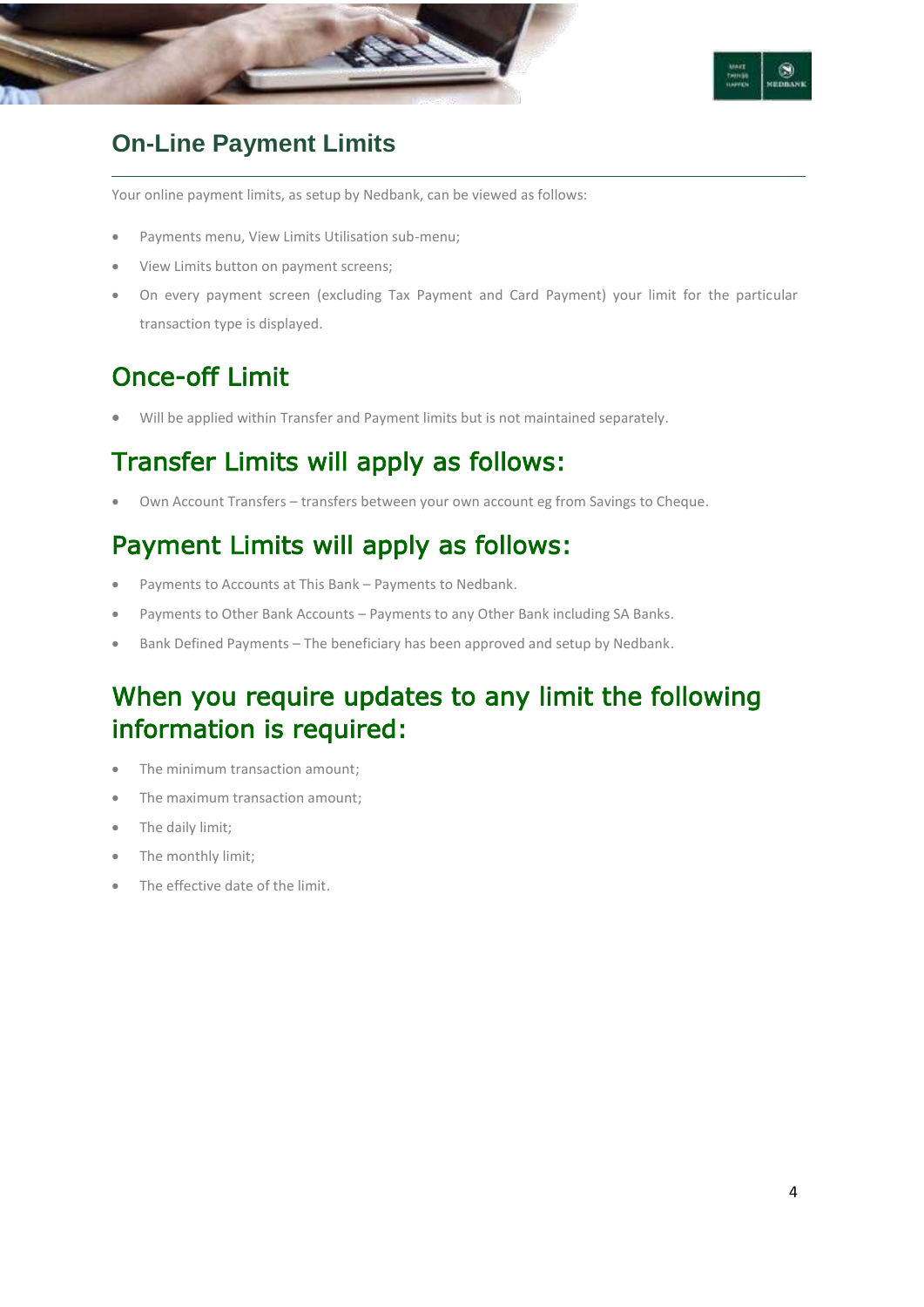



## **On-Line Payment Limits**

Your online payment limits, as setup by Nedbank, can be viewed as follows:

- Payments menu, View Limits Utilisation sub-menu;
- View Limits button on payment screens;
- On every payment screen (excluding Tax Payment and Card Payment) your limit for the particular transaction type is displayed.

# Once-off Limit

Will be applied within Transfer and Payment limits but is not maintained separately.

# Transfer Limits will apply as follows:

Own Account Transfers – transfers between your own account eg from Savings to Cheque.

# Payment Limits will apply as follows:

- Payments to Accounts at This Bank Payments to Nedbank.
- Payments to Other Bank Accounts Payments to any Other Bank including SA Banks.
- Bank Defined Payments The beneficiary has been approved and setup by Nedbank.

# When you require updates to any limit the following information is required:

- The minimum transaction amount;
- The maximum transaction amount;
- The daily limit;
- The monthly limit;
- The effective date of the limit.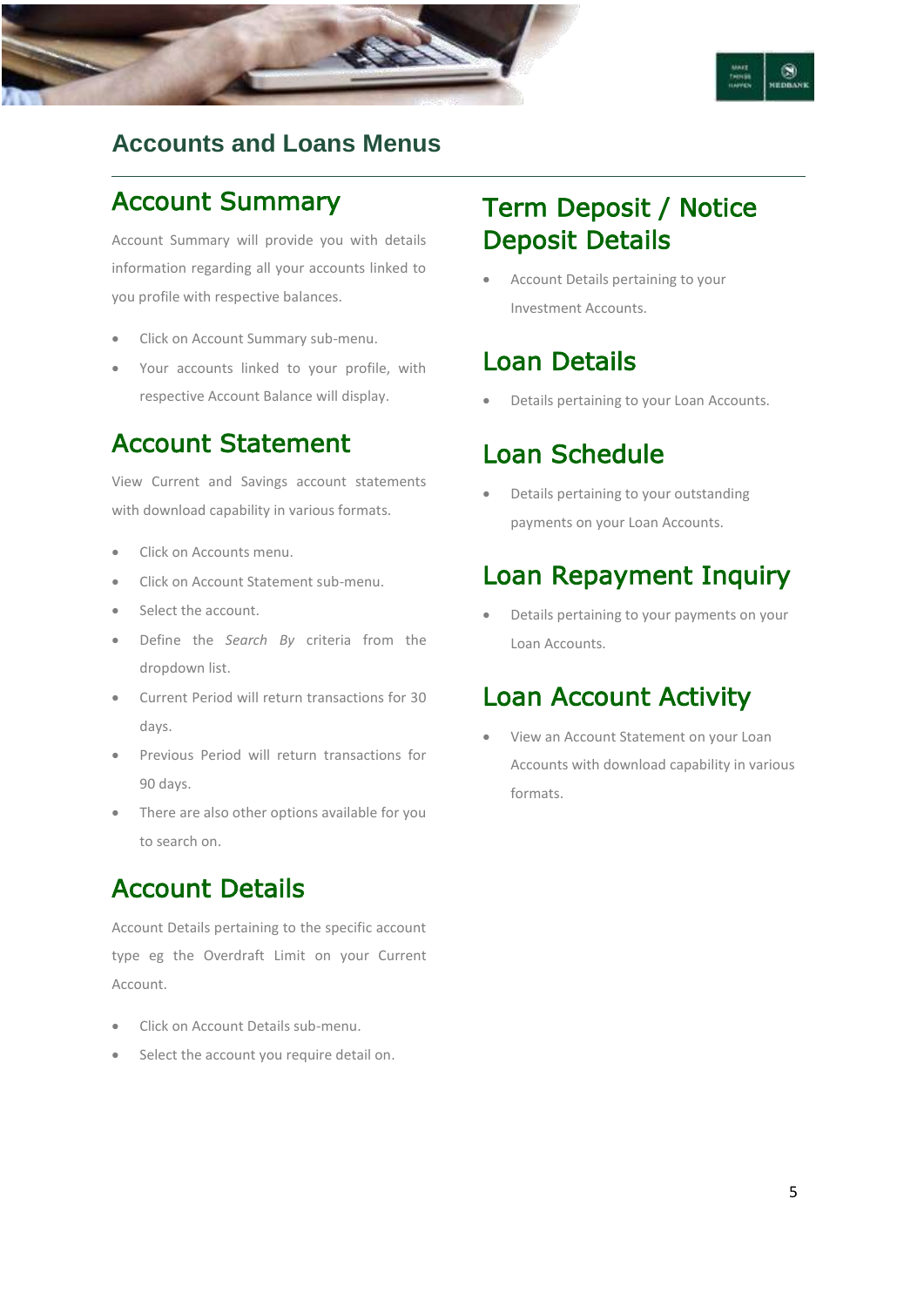

## **Accounts and Loans Menus**

## Account Summary

Account Summary will provide you with details information regarding all your accounts linked to you profile with respective balances.

- Click on Account Summary sub-menu.
- Your accounts linked to your profile, with respective Account Balance will display.

## Account Statement

View Current and Savings account statements with download capability in various formats.

- Click on Accounts menu.
- Click on Account Statement sub-menu.
- Select the account.
- Define the *Search By* criteria from the dropdown list.
- Current Period will return transactions for 30 days.
- Previous Period will return transactions for 90 days.
- There are also other options available for you to search on.

# Account Details

Account Details pertaining to the specific account type eg the Overdraft Limit on your Current Account.

- Click on Account Details sub-menu.
- Select the account you require detail on.

# Term Deposit / Notice Deposit Details

 Account Details pertaining to your Investment Accounts.

# Loan Details

Details pertaining to your Loan Accounts.

## Loan Schedule

 Details pertaining to your outstanding payments on your Loan Accounts.

# Loan Repayment Inquiry

 Details pertaining to your payments on your Loan Accounts.

## Loan Account Activity

 View an Account Statement on your Loan Accounts with download capability in various formats.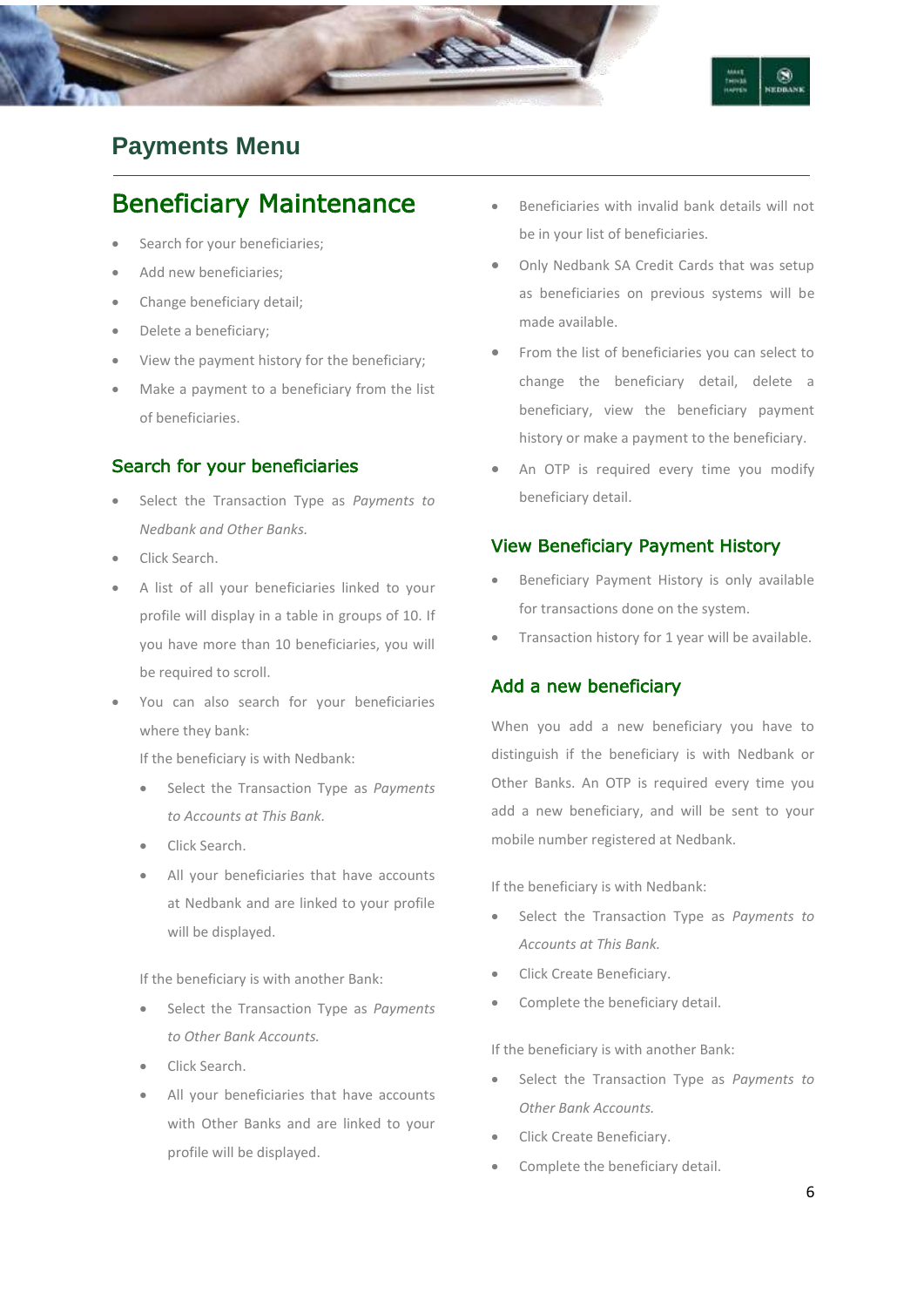

## **Payments Menu**

## Beneficiary Maintenance

- Search for your beneficiaries;
- Add new beneficiaries;
- Change beneficiary detail;
- Delete a beneficiary;
- View the payment history for the beneficiary;
- Make a payment to a beneficiary from the list of beneficiaries.

#### Search for your beneficiaries

- Select the Transaction Type as *Payments to Nedbank and Other Banks.*
- Click Search.
- A list of all your beneficiaries linked to your profile will display in a table in groups of 10. If you have more than 10 beneficiaries, you will be required to scroll.
- You can also search for your beneficiaries where they bank:

If the beneficiary is with Nedbank:

- Select the Transaction Type as *Payments to Accounts at This Bank.*
- Click Search.
- All your beneficiaries that have accounts at Nedbank and are linked to your profile will be displayed.

If the beneficiary is with another Bank:

- Select the Transaction Type as *Payments to Other Bank Accounts.*
- Click Search.
- All your beneficiaries that have accounts with Other Banks and are linked to your profile will be displayed.
- Beneficiaries with invalid bank details will not be in your list of beneficiaries.
- Only Nedbank SA Credit Cards that was setup as beneficiaries on previous systems will be made available.
- From the list of beneficiaries you can select to change the beneficiary detail, delete a beneficiary, view the beneficiary payment history or make a payment to the beneficiary.
- An OTP is required every time you modify beneficiary detail.

#### View Beneficiary Payment History

- Beneficiary Payment History is only available for transactions done on the system.
- Transaction history for 1 year will be available.

#### Add a new beneficiary

When you add a new beneficiary you have to distinguish if the beneficiary is with Nedbank or Other Banks. An OTP is required every time you add a new beneficiary, and will be sent to your mobile number registered at Nedbank.

If the beneficiary is with Nedbank:

- Select the Transaction Type as *Payments to Accounts at This Bank.*
- Click Create Beneficiary.
- Complete the beneficiary detail.

If the beneficiary is with another Bank:

- Select the Transaction Type as *Payments to Other Bank Accounts.*
- Click Create Beneficiary.
- Complete the beneficiary detail.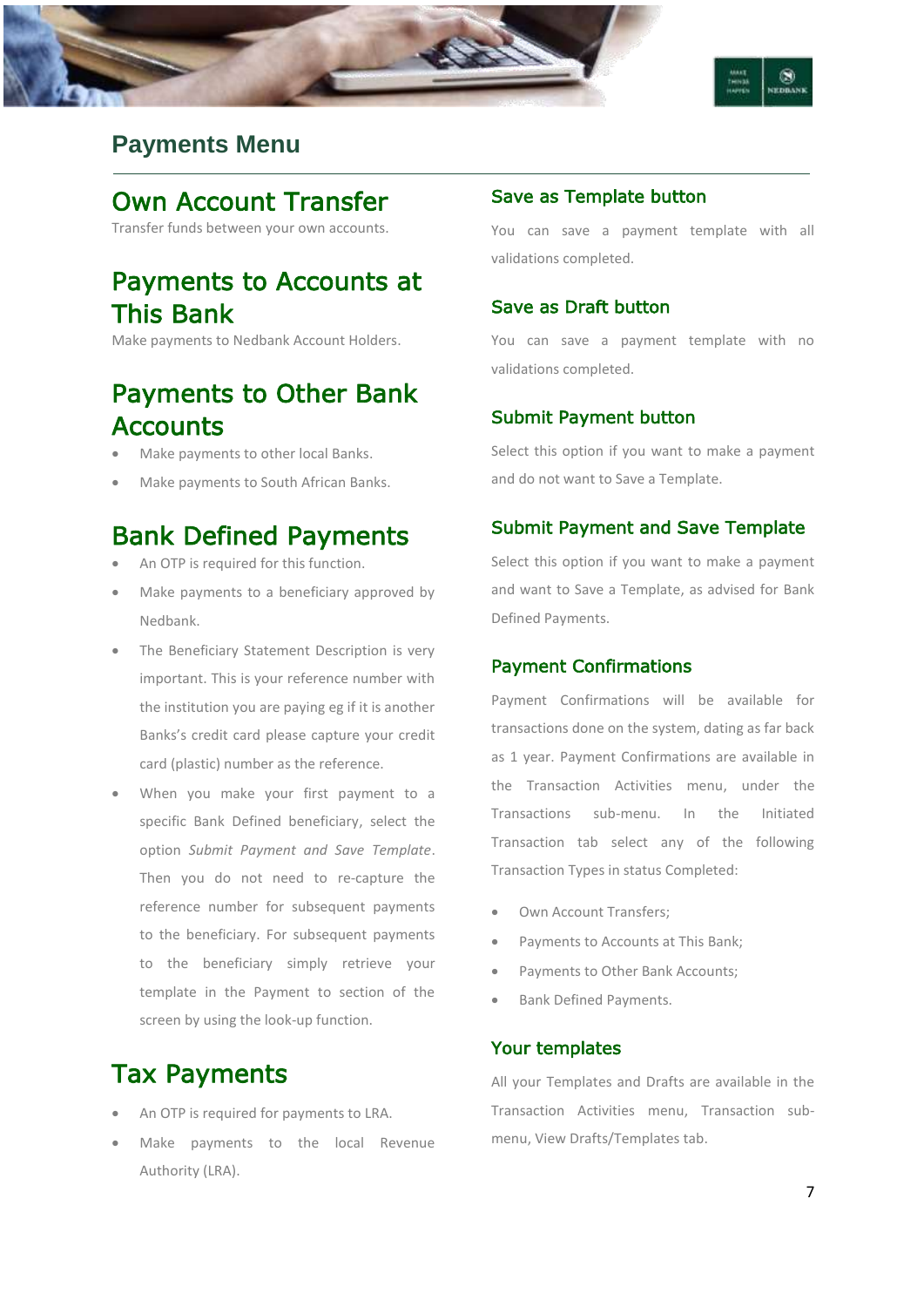



## **Payments Menu**

# Own Account Transfer

Transfer funds between your own accounts.

# Payments to Accounts at This Bank

Make payments to Nedbank Account Holders.

# Payments to Other Bank **Accounts**

- Make payments to other local Banks.
- Make payments to South African Banks.

## Bank Defined Payments

- An OTP is required for this function.
- Make payments to a beneficiary approved by Nedbank.
- The Beneficiary Statement Description is very important. This is your reference number with the institution you are paying eg if it is another Banks's credit card please capture your credit card (plastic) number as the reference.
- When you make your first payment to a specific Bank Defined beneficiary, select the option *Submit Payment and Save Template*. Then you do not need to re-capture the reference number for subsequent payments to the beneficiary. For subsequent payments to the beneficiary simply retrieve your template in the Payment to section of the screen by using the look-up function.

# Tax Payments

- An OTP is required for payments to LRA.
- Make payments to the local Revenue Authority (LRA).

#### Save as Template button

You can save a payment template with all validations completed.

#### Save as Draft button

You can save a payment template with no validations completed.

#### Submit Payment button

Select this option if you want to make a payment and do not want to Save a Template.

#### Submit Payment and Save Template

Select this option if you want to make a payment and want to Save a Template, as advised for Bank Defined Payments.

#### Payment Confirmations

Payment Confirmations will be available for transactions done on the system, dating as far back as 1 year. Payment Confirmations are available in the Transaction Activities menu, under the Transactions sub-menu. In the Initiated Transaction tab select any of the following Transaction Types in status Completed:

- Own Account Transfers;
- Payments to Accounts at This Bank;
- Payments to Other Bank Accounts;
- Bank Defined Payments.

#### Your templates

All your Templates and Drafts are available in the Transaction Activities menu, Transaction submenu, View Drafts/Templates tab.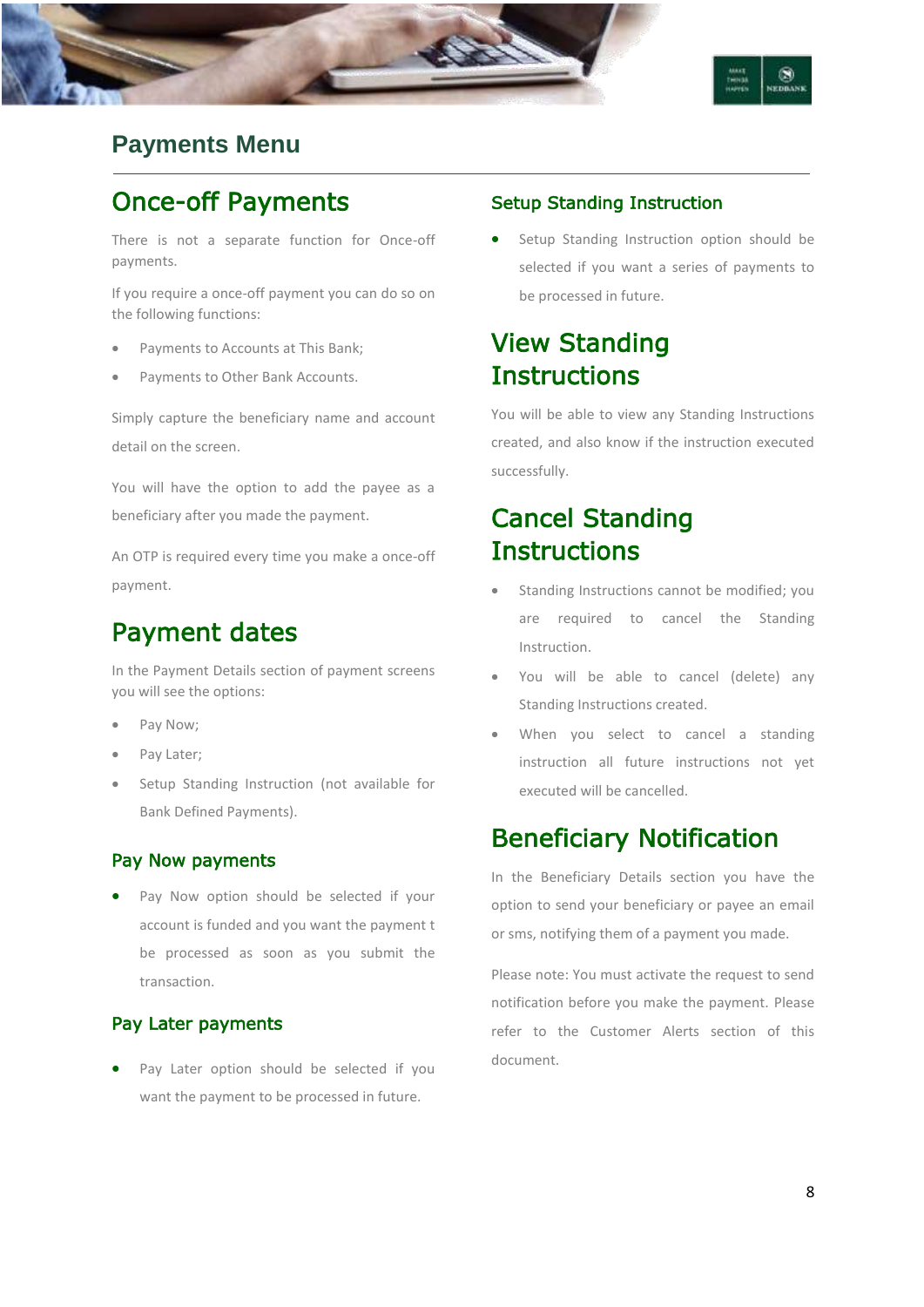

## **Payments Menu**

## Once-off Payments

There is not a separate function for Once-off payments.

If you require a once-off payment you can do so on the following functions:

- Payments to Accounts at This Bank;
- Payments to Other Bank Accounts.

Simply capture the beneficiary name and account detail on the screen.

You will have the option to add the payee as a beneficiary after you made the payment.

An OTP is required every time you make a once-off payment.

## Payment dates

In the Payment Details section of payment screens you will see the options:

- Pay Now;
- Pay Later;
- Setup Standing Instruction (not available for Bank Defined Payments).

#### Pay Now payments

 Pay Now option should be selected if your account is funded and you want the payment t be processed as soon as you submit the transaction.

#### Pay Later payments

 Pay Later option should be selected if you want the payment to be processed in future.

#### Setup Standing Instruction

 Setup Standing Instruction option should be selected if you want a series of payments to be processed in future.

## View Standing **Instructions**

You will be able to view any Standing Instructions created, and also know if the instruction executed successfully.

# Cancel Standing **Instructions**

- Standing Instructions cannot be modified; you are required to cancel the Standing Instruction.
- You will be able to cancel (delete) any Standing Instructions created.
- When you select to cancel a standing instruction all future instructions not yet executed will be cancelled.

## Beneficiary Notification

In the Beneficiary Details section you have the option to send your beneficiary or payee an email or sms, notifying them of a payment you made.

Please note: You must activate the request to send notification before you make the payment. Please refer to the Customer Alerts section of this document.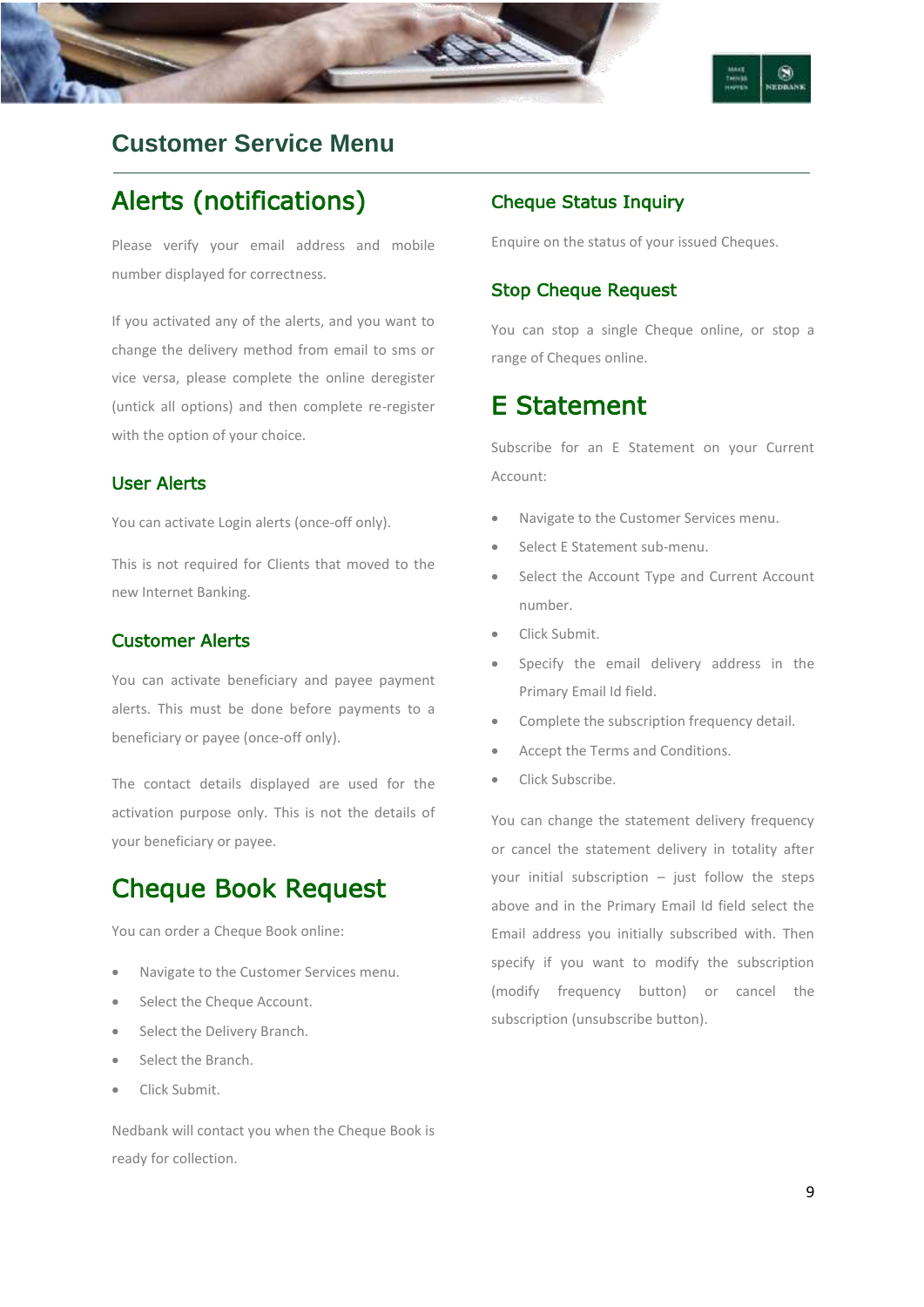

## **Customer Service Menu**

# Alerts (notifications)

Please verify your email address and mobile number displayed for correctness.

If you activated any of the alerts, and you want to change the delivery method from email to sms or vice versa, please complete the online deregister (untick all options) and then complete re-register with the option of your choice.

#### User Alerts

You can activate Login alerts (once-off only).

This is not required for Clients that moved to the new Internet Banking.

#### Customer Alerts

You can activate beneficiary and payee payment alerts. This must be done before payments to a beneficiary or payee (once-off only).

The contact details displayed are used for the activation purpose only. This is not the details of your beneficiary or payee.

## Cheque Book Request

You can order a Cheque Book online:

- Navigate to the Customer Services menu.
- Select the Cheque Account.
- Select the Delivery Branch.
- Select the Branch.
- Click Submit.

Nedbank will contact you when the Cheque Book is ready for collection.

#### Cheque Status Inquiry

Enquire on the status of your issued Cheques.

#### Stop Cheque Request

You can stop a single Cheque online, or stop a range of Cheques online.

### E Statement

Subscribe for an E Statement on your Current Account:

- Navigate to the Customer Services menu.
- Select E Statement sub-menu.
- Select the Account Type and Current Account number.
- Click Submit.
- Specify the email delivery address in the Primary Email Id field.
- Complete the subscription frequency detail.
- Accept the Terms and Conditions.
- Click Subscribe.

You can change the statement delivery frequency or cancel the statement delivery in totality after your initial subscription  $-$  just follow the steps above and in the Primary Email Id field select the Email address you initially subscribed with. Then specify if you want to modify the subscription (modify frequency button) or cancel the subscription (unsubscribe button).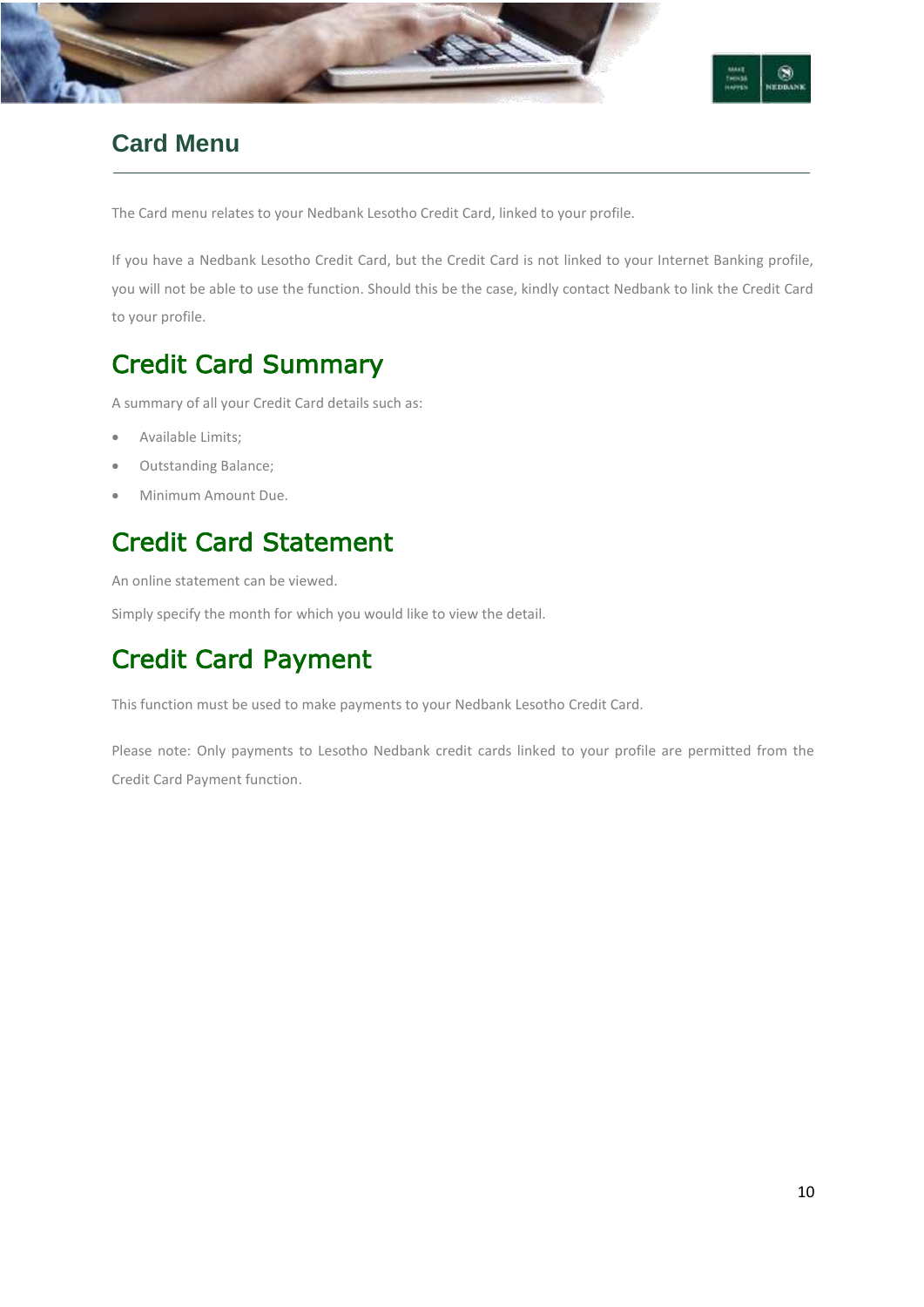



## **Card Menu**

The Card menu relates to your Nedbank Lesotho Credit Card, linked to your profile.

If you have a Nedbank Lesotho Credit Card, but the Credit Card is not linked to your Internet Banking profile, you will not be able to use the function. Should this be the case, kindly contact Nedbank to link the Credit Card to your profile.

# Credit Card Summary

A summary of all your Credit Card details such as:

- Available Limits;
- Outstanding Balance;
- Minimum Amount Due.

# Credit Card Statement

An online statement can be viewed.

Simply specify the month for which you would like to view the detail.

# Credit Card Payment

This function must be used to make payments to your Nedbank Lesotho Credit Card.

Please note: Only payments to Lesotho Nedbank credit cards linked to your profile are permitted from the Credit Card Payment function.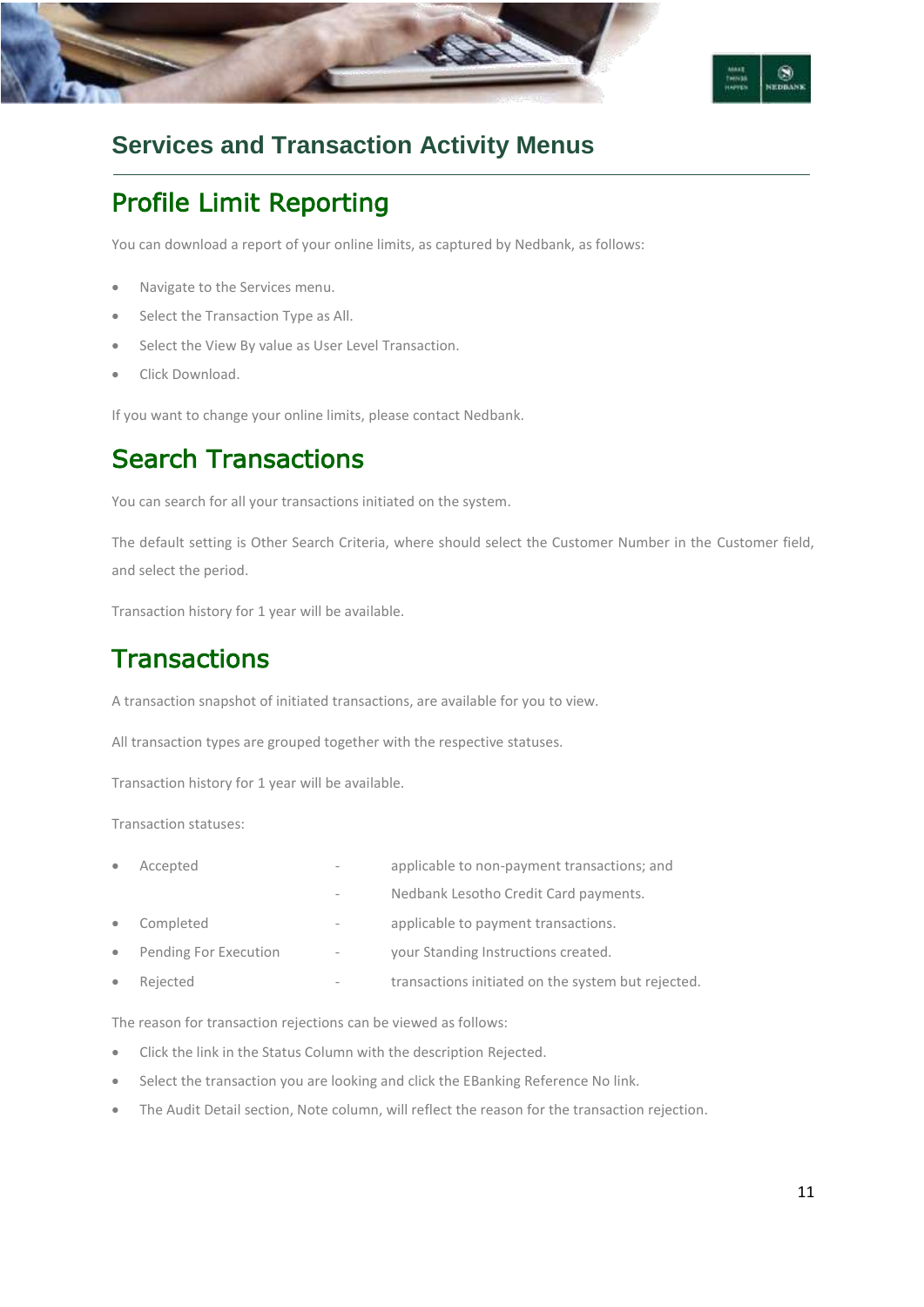



## **Services and Transaction Activity Menus**

# Profile Limit Reporting

You can download a report of your online limits, as captured by Nedbank, as follows:

- Navigate to the Services menu.
- Select the Transaction Type as All.
- Select the View By value as User Level Transaction.
- Click Download.

If you want to change your online limits, please contact Nedbank.

# Search Transactions

You can search for all your transactions initiated on the system.

The default setting is Other Search Criteria, where should select the Customer Number in the Customer field, and select the period.

Transaction history for 1 year will be available.

# **Transactions**

A transaction snapshot of initiated transactions, are available for you to view.

All transaction types are grouped together with the respective statuses.

Transaction history for 1 year will be available.

Transaction statuses:

| $\bullet$ | Accepted              | $\overline{\phantom{a}}$     | applicable to non-payment transactions; and        |
|-----------|-----------------------|------------------------------|----------------------------------------------------|
|           |                       |                              | Nedbank Lesotho Credit Card payments.              |
| $\bullet$ | Completed             | $\overline{\phantom{a}}$     | applicable to payment transactions.                |
| $\bullet$ | Pending For Execution | $\overline{\phantom{a}}$     | your Standing Instructions created.                |
| $\bullet$ | Rejected              | $\qquad \qquad \blacksquare$ | transactions initiated on the system but rejected. |

The reason for transaction rejections can be viewed as follows:

- Click the link in the Status Column with the description Rejected.
- Select the transaction you are looking and click the EBanking Reference No link.
- The Audit Detail section, Note column, will reflect the reason for the transaction rejection.